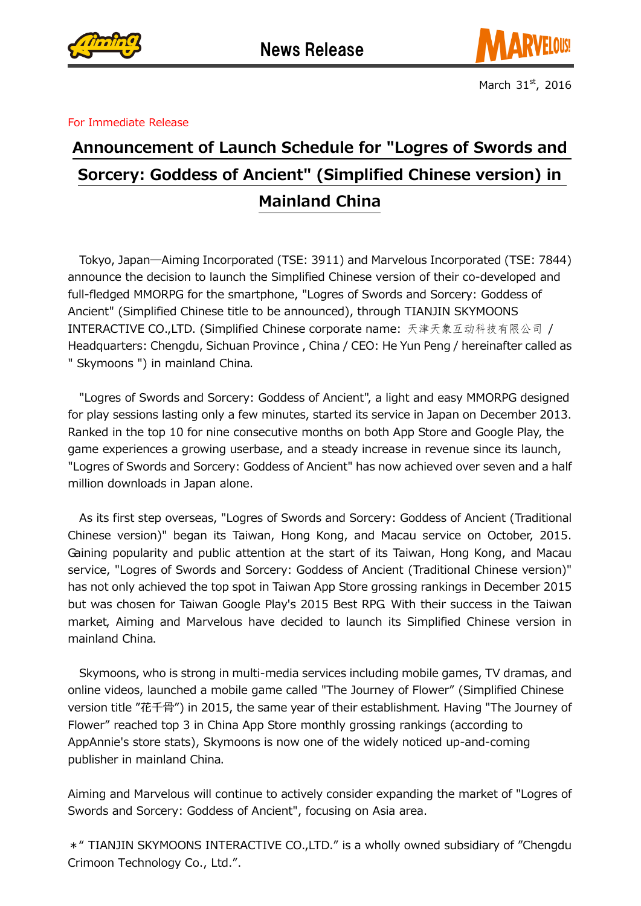



March  $31<sup>st</sup>$ , 2016

## For Immediate Release

## Announcement of Launch Schedule for "Logres of Swords and Sorcery: Goddess of Ancient" (Simplified Chinese version) in Mainland China

Tokyo, Japan―Aiming Incorporated (TSE: 3911) and Marvelous Incorporated (TSE: 7844) announce the decision to launch the Simplified Chinese version of their co-developed and full-fledged MMORPG for the smartphone, "Logres of Swords and Sorcery: Goddess of Ancient" (Simplified Chinese title to be announced), through TIANJIN SKYMOONS INTERACTIVE CO.,LTD. (Simplified Chinese corporate name: 天津天象互动科技有限公司 / Headquarters: Chengdu, Sichuan Province , China / CEO: He Yun Peng / hereinafter called as " Skymoons ") in mainland China.

"Logres of Swords and Sorcery: Goddess of Ancient", a light and easy MMORPG designed for play sessions lasting only a few minutes, started its service in Japan on December 2013. Ranked in the top 10 for nine consecutive months on both App Store and Google Play, the game experiences a growing userbase, and a steady increase in revenue since its launch, "Logres of Swords and Sorcery: Goddess of Ancient" has now achieved over seven and a half million downloads in Japan alone.

As its first step overseas, "Logres of Swords and Sorcery: Goddess of Ancient (Traditional Chinese version)" began its Taiwan, Hong Kong, and Macau service on October, 2015. Gaining popularity and public attention at the start of its Taiwan, Hong Kong, and Macau service, "Logres of Swords and Sorcery: Goddess of Ancient (Traditional Chinese version)" has not only achieved the top spot in Taiwan App Store grossing rankings in December 2015 but was chosen for Taiwan Google Play's 2015 Best RPG. With their success in the Taiwan market, Aiming and Marvelous have decided to launch its Simplified Chinese version in mainland China.

Skymoons, who is strong in multi-media services including mobile games, TV dramas, and online videos, launched a mobile game called "The Journey of Flower" (Simplified Chinese version title "花千骨") in 2015, the same year of their establishment. Having "The Journey of Flower" reached top 3 in China App Store monthly grossing rankings (according to AppAnnie's store stats), Skymoons is now one of the widely noticed up-and-coming publisher in mainland China.

Aiming and Marvelous will continue to actively consider expanding the market of "Logres of Swords and Sorcery: Goddess of Ancient", focusing on Asia area.

\*" TIANJIN SKYMOONS INTERACTIVE CO.,LTD." is a wholly owned subsidiary of "Chengdu Crimoon Technology Co., Ltd.".